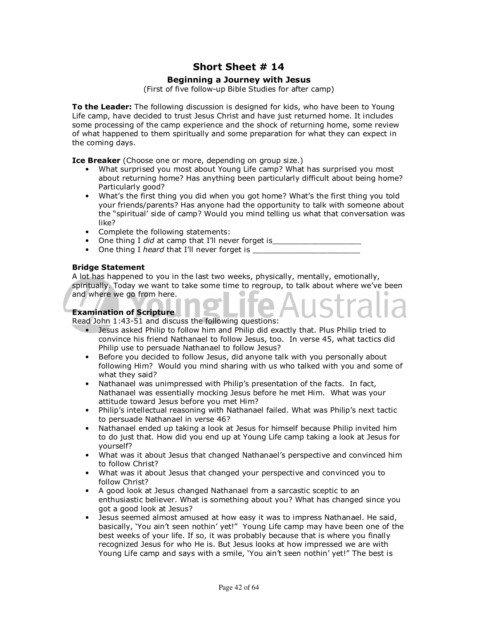# **Short Sheet # 14**

## **Beginning a Journey with Jesus**

(First of five follow-up Bible Studies for after camp)

**To the Leader:** The following discussion is designed for kids, who have been to Young Life camp, have decided to trust Jesus Christ and have just returned home. It includes some processing of the camp experience and the shock of returning home, some review of what happened to them spiritually and some preparation for what they can expect in the coming days.

**Ice Breaker** (Choose one or more, depending on group size.)

- What surprised you most about Young Life camp? What has surprised you most about returning home? Has anything been particularly difficult about being home? Particularly good?
- What's the first thing you did when you got home? What's the first thing you told your friends/parents? Has anyone had the opportunity to talk with someone about the "spiritual' side of camp? Would you mind telling us what that conversation was like?
- Complete the following statements:
- One thing I *did* at camp that I'll never forget is
- One thing I *heard* that I'll never forget is \_\_\_\_\_\_\_\_\_\_\_\_\_\_\_\_\_\_\_\_\_\_\_\_\_\_\_\_\_\_\_\_\_

### **Bridge Statement**

A lot has happened to you in the last two weeks, physically, mentally, emotionally, spiritually. Today we want to take some time to regroup, to talk about where we've been and where we go from here.

## **Examination of Scripture**

Read John 1:43-51 and discuss the following questions:

- Jesus asked Philip to follow him and Philip did exactly that. Plus Philip tried to convince his friend Nathanael to follow Jesus, too. In verse 45, what tactics did Philip use to persuade Nathanael to follow Jesus?
- Before you decided to follow Jesus, did anyone talk with you personally about following Him? Would you mind sharing with us who talked with you and some of what they said?
- Nathanael was unimpressed with Philip's presentation of the facts. In fact, Nathanael was essentially mocking Jesus before he met Him. What was your attitude toward Jesus before you met Him?
- Philip's intellectual reasoning with Nathanael failed. What was Philip's next tactic to persuade Nathanael in verse 46?
- Nathanael ended up taking a look at Jesus for himself because Philip invited him to do just that. How did you end up at Young Life camp taking a look at Jesus for yourself?
- What was it about Jesus that changed Nathanael's perspective and convinced him to follow Christ?
- What was it about Jesus that changed your perspective and convinced you to follow Christ?
- A good look at Jesus changed Nathanael from a sarcastic sceptic to an enthusiastic believer. What is something about you? What has changed since you got a good look at Jesus?
- Jesus seemed almost amused at how easy it was to impress Nathanael. He said, basically, 'You ain't seen nothin' yet!" Young Life camp may have been one of the best weeks of your life. If so, it was probably because that is where you finally recognized Jesus for who He is. But Jesus looks at how impressed we are with Young Life camp and says with a smile, 'You ain't seen nothin' yet!" The best is